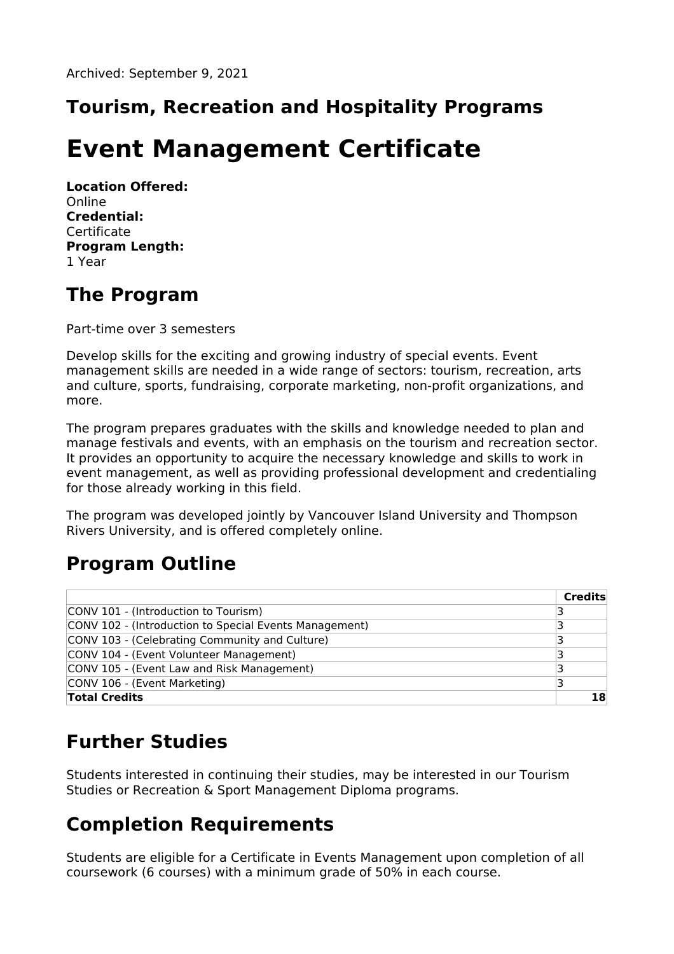# **Tourism, Recreation and Hospitality Programs**

# **Event Management Certificate**

**Location Offered:** Online **Credential:** Certificate **Program Length:** 1 Year

### **The Program**

Part-time over 3 semesters

Develop skills for the exciting and growing industry of special events. Event management skills are needed in a wide range of sectors: tourism, recreation, arts and culture, sports, fundraising, corporate marketing, non-profit organizations, and more.

The program prepares graduates with the skills and knowledge needed to plan and manage festivals and events, with an emphasis on the tourism and recreation sector. It provides an opportunity to acquire the necessary knowledge and skills to work in event management, as well as providing professional development and credentialing for those already working in this field.

The program was developed jointly by Vancouver Island University and Thompson Rivers University, and is offered completely online.

## **Program Outline**

|                                                        | <b>Credits</b> |
|--------------------------------------------------------|----------------|
| CONV 101 - (Introduction to Tourism)                   | 3              |
| CONV 102 - (Introduction to Special Events Management) |                |
| CONV 103 - (Celebrating Community and Culture)         | 3              |
| CONV 104 - (Event Volunteer Management)                | ∍              |
| CONV 105 - (Event Law and Risk Management)             |                |
| CONV 106 - (Event Marketing)                           |                |
| <b>Total Credits</b>                                   | 18             |

## **Further Studies**

Students interested in continuing their studies, may be interested in our Tourism Studies or Recreation & Sport Management Diploma programs.

## **Completion Requirements**

Students are eligible for a Certificate in Events Management upon completion of all coursework (6 courses) with a minimum grade of 50% in each course.